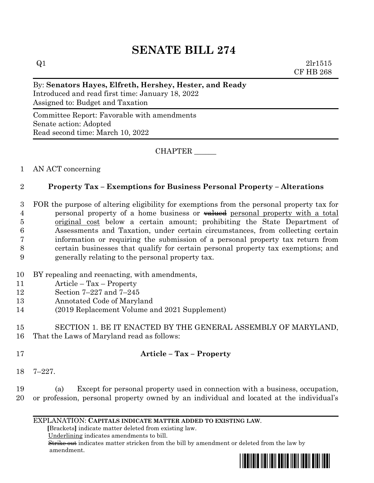# **SENATE BILL 274**

 $Q1$  2lr1515 CF HB 268

#### By: **Senators Hayes, Elfreth, Hershey, Hester, and Ready**

Introduced and read first time: January 18, 2022 Assigned to: Budget and Taxation

Committee Report: Favorable with amendments Senate action: Adopted Read second time: March 10, 2022

CHAPTER \_\_\_\_\_\_

## 1 AN ACT concerning

## 2 **Property Tax – Exemptions for Business Personal Property – Alterations**

- 3 FOR the purpose of altering eligibility for exemptions from the personal property tax for 4 personal property of a home business or  $\frac{1}{2}$  versonal property with a total 5 original cost below a certain amount; prohibiting the State Department of 6 Assessments and Taxation, under certain circumstances, from collecting certain 7 information or requiring the submission of a personal property tax return from 8 certain businesses that qualify for certain personal property tax exemptions; and 9 generally relating to the personal property tax.
- 10 BY repealing and reenacting, with amendments,
- 11 Article Tax Property
- 12 Section 7–227 and 7–245
- 13 Annotated Code of Maryland
- 14 (2019 Replacement Volume and 2021 Supplement)

#### 15 SECTION 1. BE IT ENACTED BY THE GENERAL ASSEMBLY OF MARYLAND, 16 That the Laws of Maryland read as follows:

## 17 **Article – Tax – Property**

18 7–227.

19 (a) Except for personal property used in connection with a business, occupation, 20 or profession, personal property owned by an individual and located at the individual's

#### EXPLANATION: **CAPITALS INDICATE MATTER ADDED TO EXISTING LAW**.

 **[**Brackets**]** indicate matter deleted from existing law.

Underlining indicates amendments to bill.

 Strike out indicates matter stricken from the bill by amendment or deleted from the law by amendment.

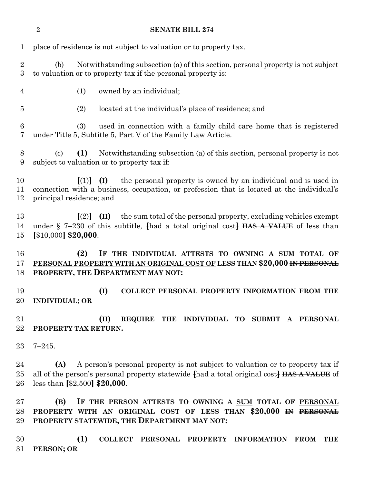#### **SENATE BILL 274**

| 1                    | place of residence is not subject to valuation or to property tax.                                                                                                                                                    |
|----------------------|-----------------------------------------------------------------------------------------------------------------------------------------------------------------------------------------------------------------------|
| $\overline{2}$<br>3  | Notwithstanding subsection (a) of this section, personal property is not subject<br>(b)<br>to valuation or to property tax if the personal property is:                                                               |
| 4                    | owned by an individual;<br>(1)                                                                                                                                                                                        |
| 5                    | (2)<br>located at the individual's place of residence; and                                                                                                                                                            |
| $\,6$<br>7           | (3)<br>used in connection with a family child care home that is registered<br>under Title 5, Subtitle 5, Part V of the Family Law Article.                                                                            |
| 8<br>$9\phantom{.0}$ | (1)<br>Notwithstanding subsection (a) of this section, personal property is not<br>$\left( \mathrm{c}\right)$<br>subject to valuation or to property tax if:                                                          |
| 10<br>11<br>12       | the personal property is owned by an individual and is used in<br>(I)<br>$\lceil (1) \rceil$<br>connection with a business, occupation, or profession that is located at the individual's<br>principal residence; and |
| 13<br>14<br>15       | the sum total of the personal property, excluding vehicles exempt<br>$\lceil (2) \rceil$<br>(II)<br>under $\S$ 7-230 of this subtitle, thad a total original cost. HAS A VALUE of less than<br>$[$10,000]$ \$20,000.  |
| 16<br>17<br>18       | (2)<br>IF THE INDIVIDUAL ATTESTS TO OWNING A SUM TOTAL OF<br>PERSONAL PROPERTY WITH AN ORIGINAL COST OF LESS THAN \$20,000 IN PERSONAL<br><b>PROPERTY, THE DEPARTMENT MAY NOT:</b>                                    |
| 19<br>20             | (I)<br>COLLECT PERSONAL PROPERTY INFORMATION FROM THE<br><b>INDIVIDUAL; OR</b>                                                                                                                                        |
| 21<br>22             | REQUIRE THE INDIVIDUAL TO SUBMIT<br>(II)<br>A PERSONAL<br>PROPERTY TAX RETURN.                                                                                                                                        |
| 23                   | $7 - 245.$                                                                                                                                                                                                            |
| 24<br>25<br>26       | A person's personal property is not subject to valuation or to property tax if<br>(A)<br>all of the person's personal property statewide fhad a total original cost. HAS A VALUE of<br>less than $[$2,500]$ \$20,000. |
| 27<br>28<br>29       | IF THE PERSON ATTESTS TO OWNING A SUM TOTAL OF PERSONAL<br>(B)<br>PROPERTY WITH AN ORIGINAL COST OF LESS THAN \$20,000 <del>IN PERSONAL</del><br>PROPERTY STATEWIDE, THE DEPARTMENT MAY NOT:                          |
| 30<br>31             | (1)<br><b>COLLECT</b><br><b>PERSONAL</b><br><b>PROPERTY</b><br><b>INFORMATION</b><br><b>THE</b><br><b>FROM</b><br>PERSON; OR                                                                                          |